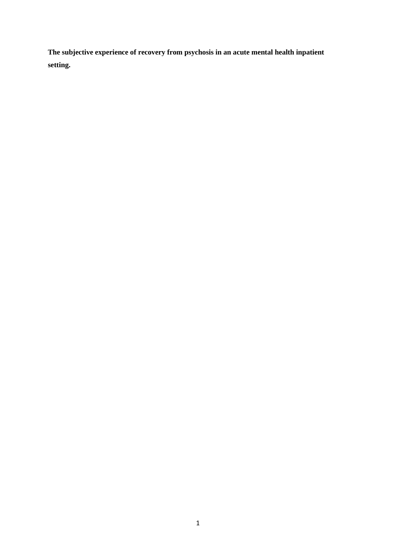**The subjective experience of recovery from psychosis in an acute mental health inpatient setting.**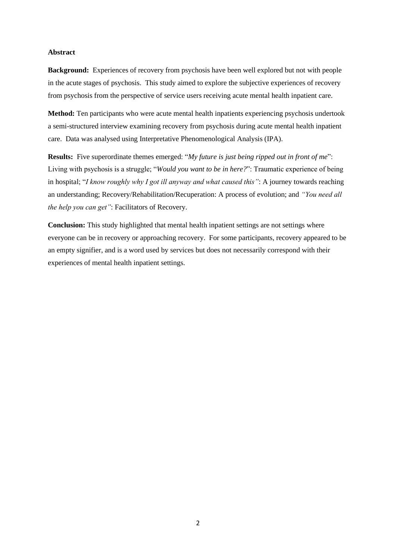### **Abstract**

**Background:** Experiences of recovery from psychosis have been well explored but not with people in the acute stages of psychosis. This study aimed to explore the subjective experiences of recovery from psychosis from the perspective of service users receiving acute mental health inpatient care.

**Method:** Ten participants who were acute mental health inpatients experiencing psychosis undertook a semi-structured interview examining recovery from psychosis during acute mental health inpatient care. Data was analysed using Interpretative Phenomenological Analysis (IPA).

**Results:** Five superordinate themes emerged: "*My future is just being ripped out in front of me*": Living with psychosis is a struggle; "*Would you want to be in here?*": Traumatic experience of being in hospital; "*I know roughly why I got ill anyway and what caused this"*: A journey towards reaching an understanding; Recovery/Rehabilitation/Recuperation: A process of evolution; and *"You need all the help you can get"*: Facilitators of Recovery.

**Conclusion:** This study highlighted that mental health inpatient settings are not settings where everyone can be in recovery or approaching recovery. For some participants, recovery appeared to be an empty signifier, and is a word used by services but does not necessarily correspond with their experiences of mental health inpatient settings.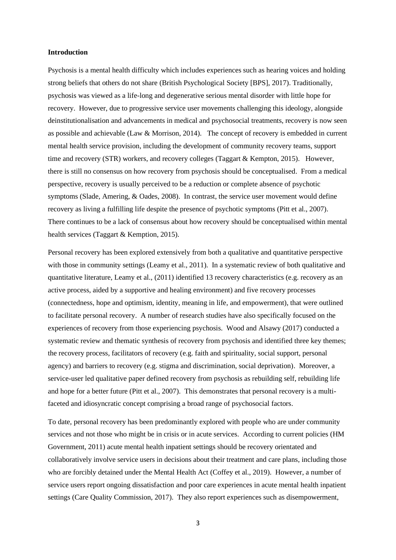#### **Introduction**

Psychosis is a mental health difficulty which includes experiences such as hearing voices and holding strong beliefs that others do not share (British Psychological Society [BPS], 2017). Traditionally, psychosis was viewed as a life-long and degenerative serious mental disorder with little hope for recovery. However, due to progressive service user movements challenging this ideology, alongside deinstitutionalisation and advancements in medical and psychosocial treatments, recovery is now seen as possible and achievable (Law & Morrison, 2014). The concept of recovery is embedded in current mental health service provision, including the development of community recovery teams, support time and recovery (STR) workers, and recovery colleges (Taggart & Kempton, 2015). However, there is still no consensus on how recovery from psychosis should be conceptualised. From a medical perspective, recovery is usually perceived to be a reduction or complete absence of psychotic symptoms (Slade, Amering, & Oades, 2008). In contrast, the service user movement would define recovery as living a fulfilling life despite the presence of psychotic symptoms (Pitt et al., 2007). There continues to be a lack of consensus about how recovery should be conceptualised within mental health services (Taggart & Kemption, 2015).

Personal recovery has been explored extensively from both a qualitative and quantitative perspective with those in community settings (Leamy et al., 2011). In a systematic review of both qualitative and quantitative literature, Leamy et al., (2011) identified 13 recovery characteristics (e.g. recovery as an active process, aided by a supportive and healing environment) and five recovery processes (connectedness, hope and optimism, identity, meaning in life, and empowerment), that were outlined to facilitate personal recovery. A number of research studies have also specifically focused on the experiences of recovery from those experiencing psychosis. Wood and Alsawy (2017) conducted a systematic review and thematic synthesis of recovery from psychosis and identified three key themes; the recovery process, facilitators of recovery (e.g. faith and spirituality, social support, personal agency) and barriers to recovery (e.g. stigma and discrimination, social deprivation). Moreover, a service-user led qualitative paper defined recovery from psychosis as rebuilding self, rebuilding life and hope for a better future (Pitt et al., 2007). This demonstrates that personal recovery is a multifaceted and idiosyncratic concept comprising a broad range of psychosocial factors.

To date, personal recovery has been predominantly explored with people who are under community services and not those who might be in crisis or in acute services. According to current policies (HM Government, 2011) acute mental health inpatient settings should be recovery orientated and collaboratively involve service users in decisions about their treatment and care plans, including those who are forcibly detained under the Mental Health Act (Coffey et al., 2019). However, a number of service users report ongoing dissatisfaction and poor care experiences in acute mental health inpatient settings (Care Quality Commission, 2017). They also report experiences such as disempowerment,

3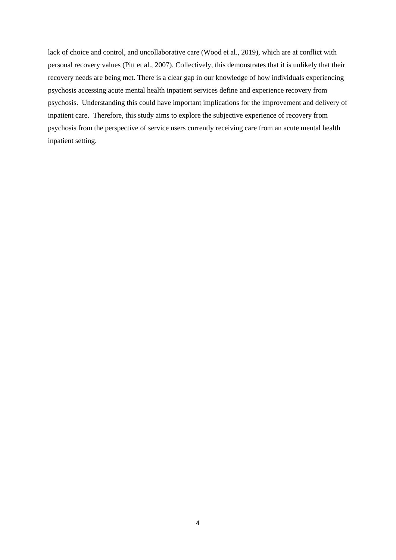lack of choice and control, and uncollaborative care (Wood et al., 2019), which are at conflict with personal recovery values (Pitt et al., 2007). Collectively, this demonstrates that it is unlikely that their recovery needs are being met. There is a clear gap in our knowledge of how individuals experiencing psychosis accessing acute mental health inpatient services define and experience recovery from psychosis. Understanding this could have important implications for the improvement and delivery of inpatient care. Therefore, this study aims to explore the subjective experience of recovery from psychosis from the perspective of service users currently receiving care from an acute mental health inpatient setting.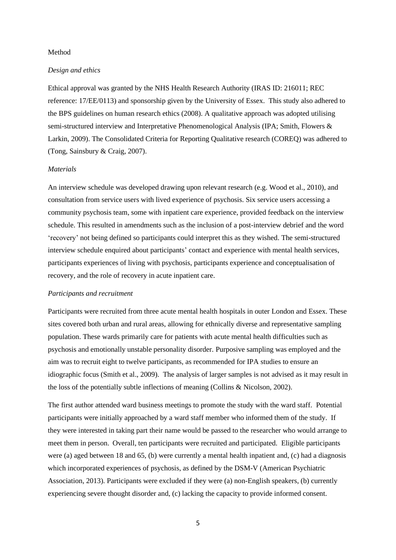#### Method

#### *Design and ethics*

Ethical approval was granted by the NHS Health Research Authority (IRAS ID: 216011; REC reference: 17/EE/0113) and sponsorship given by the University of Essex. This study also adhered to the BPS guidelines on human research ethics (2008). A qualitative approach was adopted utilising semi-structured interview and Interpretative Phenomenological Analysis (IPA; Smith, Flowers & Larkin, 2009). The Consolidated Criteria for Reporting Qualitative research (COREQ) was adhered to (Tong, Sainsbury & Craig, 2007).

#### *Materials*

An interview schedule was developed drawing upon relevant research (e.g. Wood et al., 2010), and consultation from service users with lived experience of psychosis. Six service users accessing a community psychosis team, some with inpatient care experience, provided feedback on the interview schedule. This resulted in amendments such as the inclusion of a post-interview debrief and the word 'recovery' not being defined so participants could interpret this as they wished. The semi-structured interview schedule enquired about participants' contact and experience with mental health services, participants experiences of living with psychosis, participants experience and conceptualisation of recovery, and the role of recovery in acute inpatient care.

### *Participants and recruitment*

Participants were recruited from three acute mental health hospitals in outer London and Essex. These sites covered both urban and rural areas, allowing for ethnically diverse and representative sampling population. These wards primarily care for patients with acute mental health difficulties such as psychosis and emotionally unstable personality disorder. Purposive sampling was employed and the aim was to recruit eight to twelve participants, as recommended for IPA studies to ensure an idiographic focus (Smith et al., 2009). The analysis of larger samples is not advised as it may result in the loss of the potentially subtle inflections of meaning (Collins & Nicolson, 2002).

The first author attended ward business meetings to promote the study with the ward staff. Potential participants were initially approached by a ward staff member who informed them of the study. If they were interested in taking part their name would be passed to the researcher who would arrange to meet them in person. Overall, ten participants were recruited and participated. Eligible participants were (a) aged between 18 and 65, (b) were currently a mental health inpatient and, (c) had a diagnosis which incorporated experiences of psychosis, as defined by the DSM-V (American Psychiatric Association, 2013). Participants were excluded if they were (a) non-English speakers, (b) currently experiencing severe thought disorder and, (c) lacking the capacity to provide informed consent.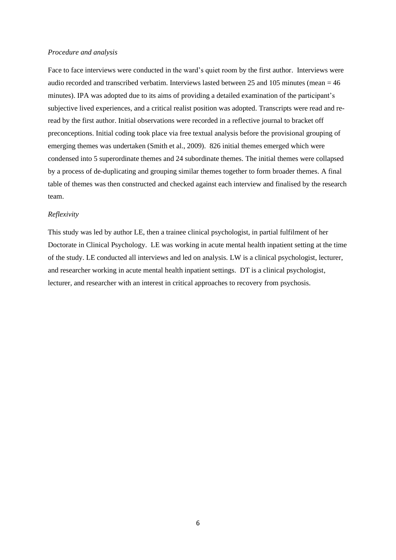#### *Procedure and analysis*

Face to face interviews were conducted in the ward's quiet room by the first author. Interviews were audio recorded and transcribed verbatim. Interviews lasted between 25 and 105 minutes (mean = 46 minutes). IPA was adopted due to its aims of providing a detailed examination of the participant's subjective lived experiences, and a critical realist position was adopted. Transcripts were read and reread by the first author. Initial observations were recorded in a reflective journal to bracket off preconceptions. Initial coding took place via free textual analysis before the provisional grouping of emerging themes was undertaken (Smith et al., 2009). 826 initial themes emerged which were condensed into 5 superordinate themes and 24 subordinate themes. The initial themes were collapsed by a process of de-duplicating and grouping similar themes together to form broader themes. A final table of themes was then constructed and checked against each interview and finalised by the research team.

### *Reflexivity*

This study was led by author LE, then a trainee clinical psychologist, in partial fulfilment of her Doctorate in Clinical Psychology. LE was working in acute mental health inpatient setting at the time of the study. LE conducted all interviews and led on analysis. LW is a clinical psychologist, lecturer, and researcher working in acute mental health inpatient settings. DT is a clinical psychologist, lecturer, and researcher with an interest in critical approaches to recovery from psychosis.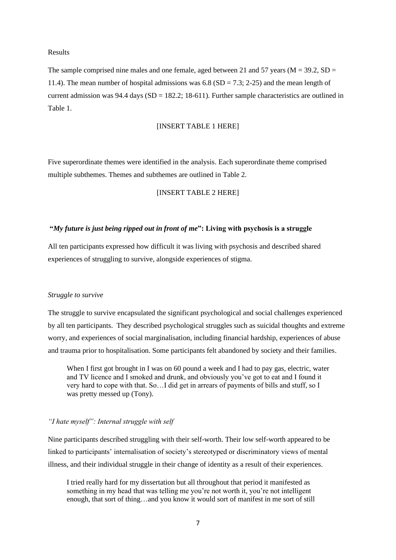#### Results

The sample comprised nine males and one female, aged between 21 and 57 years ( $M = 39.2$ , SD = 11.4). The mean number of hospital admissions was  $6.8$  (SD = 7.3; 2-25) and the mean length of current admission was  $94.4$  days (SD = 182.2; 18-611). Further sample characteristics are outlined in Table 1.

#### [INSERT TABLE 1 HERE]

Five superordinate themes were identified in the analysis. Each superordinate theme comprised multiple subthemes. Themes and subthemes are outlined in Table 2.

### [INSERT TABLE 2 HERE]

### **"***My future is just being ripped out in front of me***": Living with psychosis is a struggle**

All ten participants expressed how difficult it was living with psychosis and described shared experiences of struggling to survive, alongside experiences of stigma.

### *Struggle to survive*

The struggle to survive encapsulated the significant psychological and social challenges experienced by all ten participants. They described psychological struggles such as suicidal thoughts and extreme worry, and experiences of social marginalisation, including financial hardship, experiences of abuse and trauma prior to hospitalisation. Some participants felt abandoned by society and their families.

When I first got brought in I was on 60 pound a week and I had to pay gas, electric, water and TV licence and I smoked and drunk, and obviously you've got to eat and I found it very hard to cope with that. So…I did get in arrears of payments of bills and stuff, so I was pretty messed up (Tony).

### *"I hate myself": Internal struggle with self*

Nine participants described struggling with their self-worth. Their low self-worth appeared to be linked to participants' internalisation of society's stereotyped or discriminatory views of mental illness, and their individual struggle in their change of identity as a result of their experiences.

I tried really hard for my dissertation but all throughout that period it manifested as something in my head that was telling me you're not worth it, you're not intelligent enough, that sort of thing…and you know it would sort of manifest in me sort of still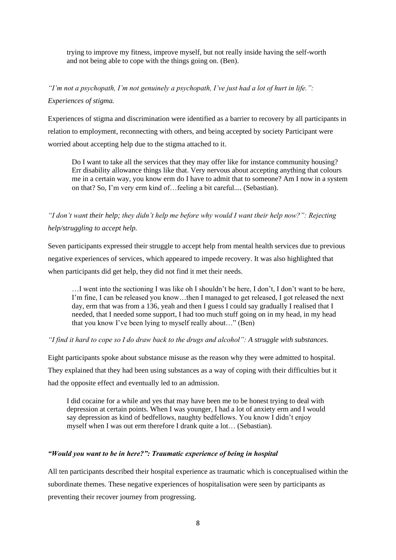trying to improve my fitness, improve myself, but not really inside having the self-worth and not being able to cope with the things going on. (Ben).

*"I'm not a psychopath, I'm not genuinely a psychopath, I've just had a lot of hurt in life.": Experiences of stigma.*

Experiences of stigma and discrimination were identified as a barrier to recovery by all participants in relation to employment, reconnecting with others, and being accepted by society Participant were worried about accepting help due to the stigma attached to it.

Do I want to take all the services that they may offer like for instance community housing? Err disability allowance things like that. Very nervous about accepting anything that colours me in a certain way, you know erm do I have to admit that to someone? Am I now in a system on that? So, I'm very erm kind of…feeling a bit careful.... (Sebastian).

*"I don't want their help; they didn't help me before why would I want their help now?": Rejecting help/struggling to accept help.*

Seven participants expressed their struggle to accept help from mental health services due to previous negative experiences of services, which appeared to impede recovery. It was also highlighted that when participants did get help, they did not find it met their needs.

…I went into the sectioning I was like oh I shouldn't be here, I don't, I don't want to be here, I'm fine, I can be released you know…then I managed to get released, I got released the next day, erm that was from a 136, yeah and then I guess I could say gradually I realised that I needed, that I needed some support, I had too much stuff going on in my head, in my head that you know I've been lying to myself really about…" (Ben)

*"I find it hard to cope so I do draw back to the drugs and alcohol": A struggle with substances.*

Eight participants spoke about substance misuse as the reason why they were admitted to hospital. They explained that they had been using substances as a way of coping with their difficulties but it had the opposite effect and eventually led to an admission.

I did cocaine for a while and yes that may have been me to be honest trying to deal with depression at certain points. When I was younger, I had a lot of anxiety erm and I would say depression as kind of bedfellows, naughty bedfellows. You know I didn't enjoy myself when I was out erm therefore I drank quite a lot… (Sebastian).

### *"Would you want to be in here?": Traumatic experience of being in hospital*

All ten participants described their hospital experience as traumatic which is conceptualised within the subordinate themes. These negative experiences of hospitalisation were seen by participants as preventing their recover journey from progressing.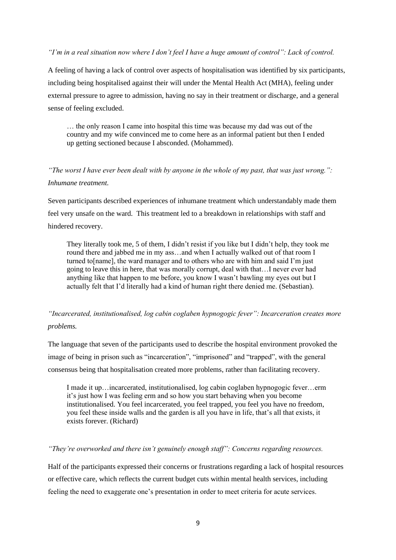*"I'm in a real situation now where I don't feel I have a huge amount of control": Lack of control.*

A feeling of having a lack of control over aspects of hospitalisation was identified by six participants, including being hospitalised against their will under the Mental Health Act (MHA), feeling under external pressure to agree to admission, having no say in their treatment or discharge, and a general sense of feeling excluded.

… the only reason I came into hospital this time was because my dad was out of the country and my wife convinced me to come here as an informal patient but then I ended up getting sectioned because I absconded. (Mohammed).

# *"The worst I have ever been dealt with by anyone in the whole of my past, that was just wrong.": Inhumane treatment.*

Seven participants described experiences of inhumane treatment which understandably made them feel very unsafe on the ward. This treatment led to a breakdown in relationships with staff and hindered recovery.

They literally took me, 5 of them, I didn't resist if you like but I didn't help, they took me round there and jabbed me in my ass…and when I actually walked out of that room I turned to[name], the ward manager and to others who are with him and said I'm just going to leave this in here, that was morally corrupt, deal with that…I never ever had anything like that happen to me before, you know I wasn't bawling my eyes out but I actually felt that I'd literally had a kind of human right there denied me. (Sebastian).

# *"Incarcerated, institutionalised, log cabin coglaben hypnogogic fever": Incarceration creates more problems.*

The language that seven of the participants used to describe the hospital environment provoked the image of being in prison such as "incarceration", "imprisoned" and "trapped", with the general consensus being that hospitalisation created more problems, rather than facilitating recovery.

I made it up…incarcerated, institutionalised, log cabin coglaben hypnogogic fever…erm it's just how I was feeling erm and so how you start behaving when you become institutionalised. You feel incarcerated, you feel trapped, you feel you have no freedom, you feel these inside walls and the garden is all you have in life, that's all that exists, it exists forever. (Richard)

### *"They're overworked and there isn't genuinely enough staff": Concerns regarding resources.*

Half of the participants expressed their concerns or frustrations regarding a lack of hospital resources or effective care, which reflects the current budget cuts within mental health services, including feeling the need to exaggerate one's presentation in order to meet criteria for acute services.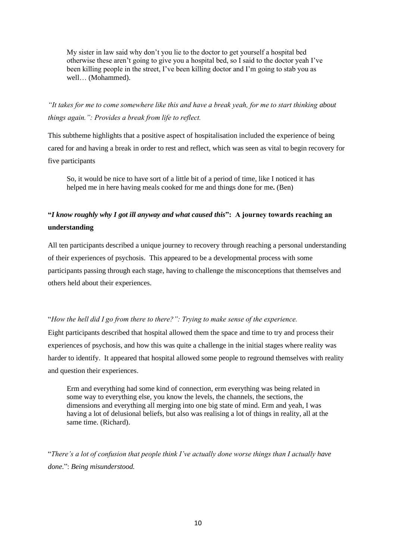My sister in law said why don't you lie to the doctor to get yourself a hospital bed otherwise these aren't going to give you a hospital bed, so I said to the doctor yeah I've been killing people in the street, I've been killing doctor and I'm going to stab you as well… (Mohammed).

*"It takes for me to come somewhere like this and have a break yeah, for me to start thinking about things again.": Provides a break from life to reflect.*

This subtheme highlights that a positive aspect of hospitalisation included the experience of being cared for and having a break in order to rest and reflect, which was seen as vital to begin recovery for five participants

So, it would be nice to have sort of a little bit of a period of time, like I noticed it has helped me in here having meals cooked for me and things done for me**.** (Ben)

# **"***I know roughly why I got ill anyway and what caused this***": A journey towards reaching an understanding**

All ten participants described a unique journey to recovery through reaching a personal understanding of their experiences of psychosis. This appeared to be a developmental process with some participants passing through each stage, having to challenge the misconceptions that themselves and others held about their experiences.

### "*How the hell did I go from there to there?": Trying to make sense of the experience.*

Eight participants described that hospital allowed them the space and time to try and process their experiences of psychosis, and how this was quite a challenge in the initial stages where reality was harder to identify. It appeared that hospital allowed some people to reground themselves with reality and question their experiences.

Erm and everything had some kind of connection, erm everything was being related in some way to everything else, you know the levels, the channels, the sections, the dimensions and everything all merging into one big state of mind. Erm and yeah, I was having a lot of delusional beliefs, but also was realising a lot of things in reality, all at the same time. (Richard).

"*There's a lot of confusion that people think I've actually done worse things than I actually have done.*": *Being misunderstood.*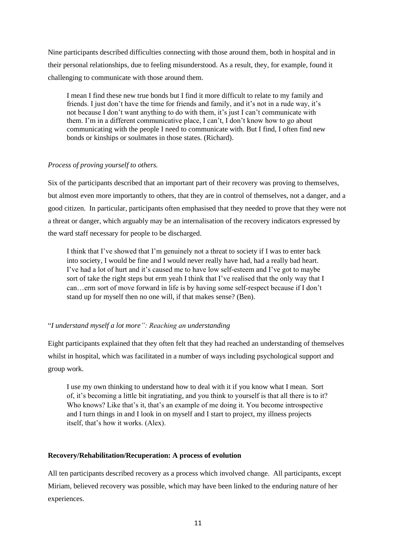Nine participants described difficulties connecting with those around them, both in hospital and in their personal relationships, due to feeling misunderstood. As a result, they, for example, found it challenging to communicate with those around them.

I mean I find these new true bonds but I find it more difficult to relate to my family and friends. I just don't have the time for friends and family, and it's not in a rude way, it's not because I don't want anything to do with them, it's just I can't communicate with them. I'm in a different communicative place, I can't, I don't know how to go about communicating with the people I need to communicate with. But I find, I often find new bonds or kinships or soulmates in those states. (Richard).

### *Process of proving yourself to others.*

Six of the participants described that an important part of their recovery was proving to themselves, but almost even more importantly to others, that they are in control of themselves, not a danger, and a good citizen. In particular, participants often emphasised that they needed to prove that they were not a threat or danger, which arguably may be an internalisation of the recovery indicators expressed by the ward staff necessary for people to be discharged.

I think that I've showed that I'm genuinely not a threat to society if I was to enter back into society, I would be fine and I would never really have had, had a really bad heart. I've had a lot of hurt and it's caused me to have low self-esteem and I've got to maybe sort of take the right steps but erm yeah I think that I've realised that the only way that I can…erm sort of move forward in life is by having some self-respect because if I don't stand up for myself then no one will, if that makes sense? (Ben).

### "*I understand myself a lot more": Reaching an understanding*

Eight participants explained that they often felt that they had reached an understanding of themselves whilst in hospital, which was facilitated in a number of ways including psychological support and group work.

I use my own thinking to understand how to deal with it if you know what I mean. Sort of, it's becoming a little bit ingratiating, and you think to yourself is that all there is to it? Who knows? Like that's it, that's an example of me doing it. You become introspective and I turn things in and I look in on myself and I start to project, my illness projects itself, that's how it works. (Alex).

### **Recovery/Rehabilitation/Recuperation: A process of evolution**

All ten participants described recovery as a process which involved change. All participants, except Miriam, believed recovery was possible, which may have been linked to the enduring nature of her experiences.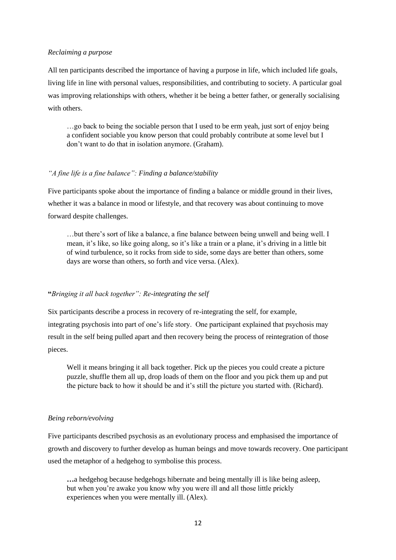#### *Reclaiming a purpose*

All ten participants described the importance of having a purpose in life, which included life goals, living life in line with personal values, responsibilities, and contributing to society. A particular goal was improving relationships with others, whether it be being a better father, or generally socialising with others.

…go back to being the sociable person that I used to be erm yeah, just sort of enjoy being a confident sociable you know person that could probably contribute at some level but I don't want to do that in isolation anymore. (Graham).

### *"A fine life is a fine balance": Finding a balance/stability*

Five participants spoke about the importance of finding a balance or middle ground in their lives, whether it was a balance in mood or lifestyle, and that recovery was about continuing to move forward despite challenges.

…but there's sort of like a balance, a fine balance between being unwell and being well. I mean, it's like, so like going along, so it's like a train or a plane, it's driving in a little bit of wind turbulence, so it rocks from side to side, some days are better than others, some days are worse than others, so forth and vice versa. (Alex).

#### **"***Bringing it all back together": Re-integrating the self*

Six participants describe a process in recovery of re-integrating the self, for example, integrating psychosis into part of one's life story. One participant explained that psychosis may result in the self being pulled apart and then recovery being the process of reintegration of those pieces.

Well it means bringing it all back together. Pick up the pieces you could create a picture puzzle, shuffle them all up, drop loads of them on the floor and you pick them up and put the picture back to how it should be and it's still the picture you started with. (Richard).

### *Being reborn/evolving*

Five participants described psychosis as an evolutionary process and emphasised the importance of growth and discovery to further develop as human beings and move towards recovery. One participant used the metaphor of a hedgehog to symbolise this process.

...a hedgehog because hedgehogs hibernate and being mentally ill is like being asleep, but when you're awake you know why you were ill and all those little prickly experiences when you were mentally ill. (Alex).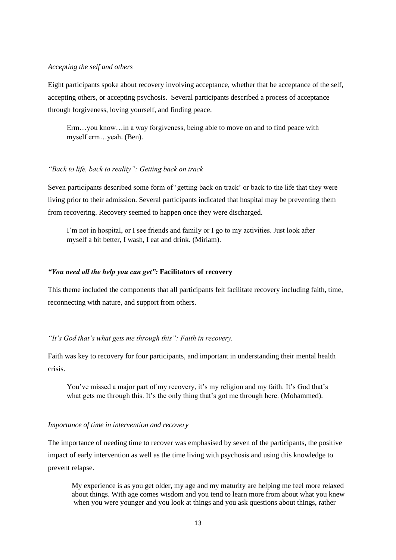#### *Accepting the self and others*

Eight participants spoke about recovery involving acceptance, whether that be acceptance of the self, accepting others, or accepting psychosis. Several participants described a process of acceptance through forgiveness, loving yourself, and finding peace.

Erm…you know…in a way forgiveness, being able to move on and to find peace with myself erm…yeah. (Ben).

#### *"Back to life, back to reality": Getting back on track*

Seven participants described some form of 'getting back on track' or back to the life that they were living prior to their admission. Several participants indicated that hospital may be preventing them from recovering. Recovery seemed to happen once they were discharged.

I'm not in hospital, or I see friends and family or I go to my activities. Just look after myself a bit better, I wash, I eat and drink. (Miriam).

### *"You need all the help you can get":* **Facilitators of recovery**

This theme included the components that all participants felt facilitate recovery including faith, time, reconnecting with nature, and support from others.

### *"It's God that's what gets me through this": Faith in recovery.*

Faith was key to recovery for four participants, and important in understanding their mental health crisis.

You've missed a major part of my recovery, it's my religion and my faith. It's God that's what gets me through this. It's the only thing that's got me through here. (Mohammed).

### *Importance of time in intervention and recovery*

The importance of needing time to recover was emphasised by seven of the participants, the positive impact of early intervention as well as the time living with psychosis and using this knowledge to prevent relapse.

My experience is as you get older, my age and my maturity are helping me feel more relaxed about things. With age comes wisdom and you tend to learn more from about what you knew when you were younger and you look at things and you ask questions about things, rather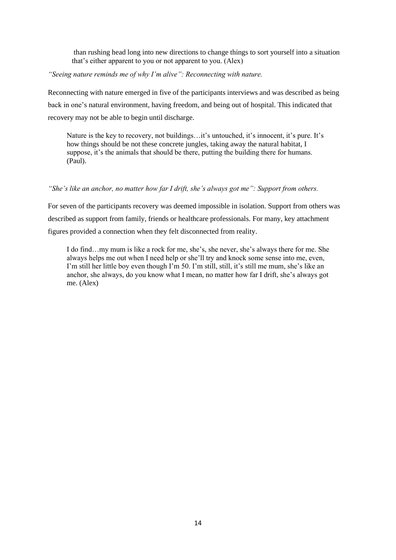than rushing head long into new directions to change things to sort yourself into a situation that's either apparent to you or not apparent to you. (Alex)

*"Seeing nature reminds me of why I'm alive": Reconnecting with nature.*

Reconnecting with nature emerged in five of the participants interviews and was described as being back in one's natural environment, having freedom, and being out of hospital. This indicated that recovery may not be able to begin until discharge.

Nature is the key to recovery, not buildings…it's untouched, it's innocent, it's pure. It's how things should be not these concrete jungles, taking away the natural habitat, I suppose, it's the animals that should be there, putting the building there for humans. (Paul).

### *"She's like an anchor, no matter how far I drift, she's always got me": Support from others.*

For seven of the participants recovery was deemed impossible in isolation. Support from others was described as support from family, friends or healthcare professionals. For many, key attachment figures provided a connection when they felt disconnected from reality.

I do find…my mum is like a rock for me, she's, she never, she's always there for me. She always helps me out when I need help or she'll try and knock some sense into me, even, I'm still her little boy even though I'm 50. I'm still, still, it's still me mum, she's like an anchor, she always, do you know what I mean, no matter how far I drift, she's always got me. (Alex)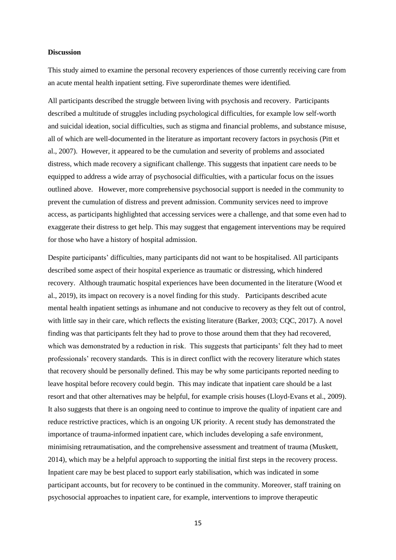#### **Discussion**

This study aimed to examine the personal recovery experiences of those currently receiving care from an acute mental health inpatient setting. Five superordinate themes were identified*.* 

All participants described the struggle between living with psychosis and recovery. Participants described a multitude of struggles including psychological difficulties, for example low self-worth and suicidal ideation, social difficulties, such as stigma and financial problems, and substance misuse, all of which are well-documented in the literature as important recovery factors in psychosis (Pitt et al., 2007). However, it appeared to be the cumulation and severity of problems and associated distress, which made recovery a significant challenge. This suggests that inpatient care needs to be equipped to address a wide array of psychosocial difficulties, with a particular focus on the issues outlined above. However, more comprehensive psychosocial support is needed in the community to prevent the cumulation of distress and prevent admission. Community services need to improve access, as participants highlighted that accessing services were a challenge, and that some even had to exaggerate their distress to get help. This may suggest that engagement interventions may be required for those who have a history of hospital admission.

Despite participants' difficulties, many participants did not want to be hospitalised. All participants described some aspect of their hospital experience as traumatic or distressing, which hindered recovery. Although traumatic hospital experiences have been documented in the literature (Wood et al., 2019), its impact on recovery is a novel finding for this study. Participants described acute mental health inpatient settings as inhumane and not conducive to recovery as they felt out of control, with little say in their care, which reflects the existing literature (Barker, 2003; CQC, 2017). A novel finding was that participants felt they had to prove to those around them that they had recovered, which was demonstrated by a reduction in risk. This suggests that participants' felt they had to meet professionals' recovery standards. This is in direct conflict with the recovery literature which states that recovery should be personally defined. This may be why some participants reported needing to leave hospital before recovery could begin. This may indicate that inpatient care should be a last resort and that other alternatives may be helpful, for example crisis houses (Lloyd-Evans et al., 2009). It also suggests that there is an ongoing need to continue to improve the quality of inpatient care and reduce restrictive practices, which is an ongoing UK priority. A recent study has demonstrated the importance of trauma-informed inpatient care, which includes developing a safe environment, minimising retraumatisation, and the comprehensive assessment and treatment of trauma (Muskett, 2014), which may be a helpful approach to supporting the initial first steps in the recovery process. Inpatient care may be best placed to support early stabilisation, which was indicated in some participant accounts, but for recovery to be continued in the community. Moreover, staff training on psychosocial approaches to inpatient care, for example, interventions to improve therapeutic

15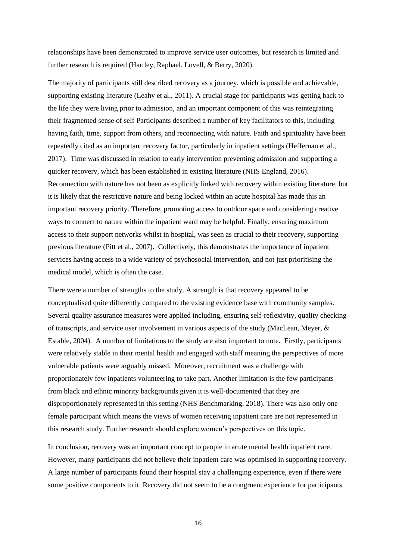relationships have been demonstrated to improve service user outcomes, but research is limited and further research is required (Hartley, Raphael, Lovell, & Berry, 2020).

The majority of participants still described recovery as a journey, which is possible and achievable, supporting existing literature (Leahy et al., 2011). A crucial stage for participants was getting back to the life they were living prior to admission, and an important component of this was reintegrating their fragmented sense of self Participants described a number of key facilitators to this, including having faith, time, support from others, and reconnecting with nature. Faith and spirituality have been repeatedly cited as an important recovery factor, particularly in inpatient settings (Heffernan et al., 2017). Time was discussed in relation to early intervention preventing admission and supporting a quicker recovery, which has been established in existing literature (NHS England, 2016). Reconnection with nature has not been as explicitly linked with recovery within existing literature, but it is likely that the restrictive nature and being locked within an acute hospital has made this an important recovery priority. Therefore, promoting access to outdoor space and considering creative ways to connect to nature within the inpatient ward may be helpful. Finally, ensuring maximum access to their support networks whilst in hospital, was seen as crucial to their recovery, supporting previous literature (Pitt et al., 2007). Collectively, this demonstrates the importance of inpatient services having access to a wide variety of psychosocial intervention, and not just prioritising the medical model, which is often the case.

There were a number of strengths to the study. A strength is that recovery appeared to be conceptualised quite differently compared to the existing evidence base with community samples. Several quality assurance measures were applied including, ensuring self-reflexivity, quality checking of transcripts, and service user involvement in various aspects of the study (MacLean, Meyer, & Estable, 2004). A number of limitations to the study are also important to note. Firstly, participants were relatively stable in their mental health and engaged with staff meaning the perspectives of more vulnerable patients were arguably missed. Moreover, recruitment was a challenge with proportionately few inpatients volunteering to take part. Another limitation is the few participants from black and ethnic minority backgrounds given it is well-documented that they are disproportionately represented in this setting (NHS Benchmarking, 2018). There was also only one female participant which means the views of women receiving inpatient care are not represented in this research study. Further research should explore women's perspectives on this topic.

In conclusion, recovery was an important concept to people in acute mental health inpatient care. However, many participants did not believe their inpatient care was optimised in supporting recovery. A large number of participants found their hospital stay a challenging experience, even if there were some positive components to it. Recovery did not seem to be a congruent experience for participants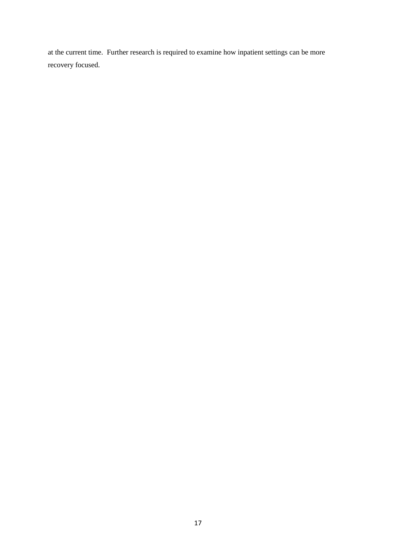at the current time. Further research is required to examine how inpatient settings can be more recovery focused.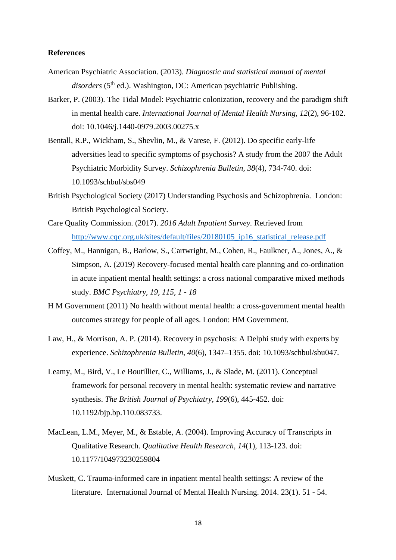### **References**

- American Psychiatric Association. (2013). *Diagnostic and statistical manual of mental*  disorders (5<sup>th</sup> ed.). Washington, DC: American psychiatric Publishing.
- Barker, P. (2003). The Tidal Model: Psychiatric colonization, recovery and the paradigm shift in mental health care. *International Journal of Mental Health Nursing, 12*(2), 96-102. doi: 10.1046/j.1440-0979.2003.00275.x
- Bentall, R.P., Wickham, S., Shevlin, M., & Varese, F. (2012). Do specific early-life adversities lead to specific symptoms of psychosis? A study from the 2007 the Adult Psychiatric Morbidity Survey. *Schizophrenia Bulletin, 38*(4), 734-740. doi: 10.1093/schbul/sbs049
- British Psychological Society (2017) Understanding Psychosis and Schizophrenia. London: British Psychological Society.
- Care Quality Commission. (2017). *2016 Adult Inpatient Survey.* Retrieved from http://www.cqc.org.uk/sites/default/files/20180105 ip16 statistical release.pdf
- Coffey, M., Hannigan, B., Barlow, S., Cartwright, M., Cohen, R., Faulkner, A., Jones, A., & Simpson, A. (2019) Recovery-focused mental health care planning and co-ordination in acute inpatient mental health settings: a cross national comparative mixed methods study. *BMC Psychiatry, 19, 115, 1 - 18*
- H M Government (2011) No health without mental health: a cross-government mental health outcomes strategy for people of all ages. London: HM Government.
- Law, H., & Morrison, A. P. (2014). Recovery in psychosis: A Delphi study with experts by experience. *Schizophrenia Bulletin*, *40*(6), 1347–1355. doi: 10.1093/schbul/sbu047.
- Leamy, M., Bird, V., Le Boutillier, C., Williams, J., & Slade, M. (2011). Conceptual framework for personal recovery in mental health: systematic review and narrative synthesis. *The British Journal of Psychiatry, 199*(6), 445-452. doi: 10.1192/bjp.bp.110.083733.
- MacLean, L.M., Meyer, M., & Estable, A. (2004). Improving Accuracy of Transcripts in Qualitative Research. *Qualitative Health Research, 14*(1), 113-123. doi: 10.1177/104973230259804
- Muskett, C. Trauma-informed care in inpatient mental health settings: A review of the literature. International Journal of Mental Health Nursing. 2014. 23(1). 51 - 54.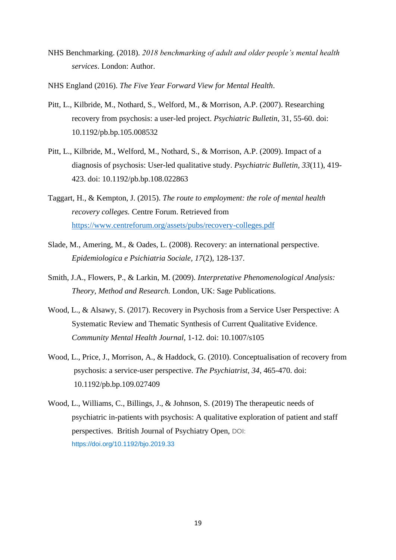- NHS Benchmarking. (2018). *2018 benchmarking of adult and older people's mental health services*. London: Author.
- NHS England (2016). *The Five Year Forward View for Mental Health*.
- Pitt, L., Kilbride, M., Nothard, S., Welford, M., & Morrison, A.P. (2007). Researching recovery from psychosis: a user-led project. *Psychiatric Bulletin*, 31, 55-60. doi: 10.1192/pb.bp.105.008532
- Pitt, L., Kilbride, M., Welford, M., Nothard, S., & Morrison, A.P. (2009). Impact of a diagnosis of psychosis: User-led qualitative study. *Psychiatric Bulletin, 33*(11), 419- 423. doi: 10.1192/pb.bp.108.022863
- Taggart, H., & Kempton, J. (2015). *The route to employment: the role of mental health recovery colleges.* Centre Forum. Retrieved from <https://www.centreforum.org/assets/pubs/recovery-colleges.pdf>
- Slade, M., Amering, M., & Oades, L. (2008). Recovery: an international perspective. *Epidemiologica e Psichiatria Sociale, 17*(2), 128-137.
- Smith, J.A., Flowers, P., & Larkin, M. (2009). *Interpretative Phenomenological Analysis: Theory, Method and Research.* London, UK: Sage Publications.
- Wood, L., & Alsawy, S. (2017). Recovery in Psychosis from a Service User Perspective: A Systematic Review and Thematic Synthesis of Current Qualitative Evidence. *Community Mental Health Journal*, 1-12. doi: 10.1007/s105
- Wood, L., Price, J., Morrison, A., & Haddock, G. (2010). Conceptualisation of recovery from psychosis: a service-user perspective. *The Psychiatrist, 34*, 465-470. doi: 10.1192/pb.bp.109.027409
- Wood, L., Williams, C., Billings, J., & Johnson, S. (2019) The therapeutic needs of psychiatric in-patients with psychosis: A qualitative exploration of patient and staff perspectives. British Journal of Psychiatry Open, DOI: <https://doi.org/10.1192/bjo.2019.33>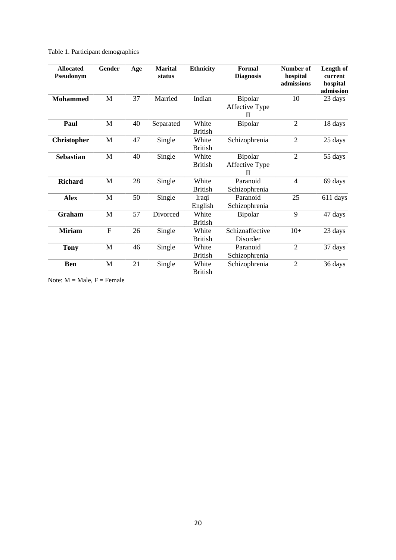# Table 1. Participant demographics

| <b>Allocated</b><br>Pseudonym | Gender       | Age | <b>Marital</b><br>status | <b>Ethnicity</b>        | Formal<br><b>Diagnosis</b>                | <b>Number of</b><br>hospital<br>admissions | Length of<br>current<br>hospital<br>admission |
|-------------------------------|--------------|-----|--------------------------|-------------------------|-------------------------------------------|--------------------------------------------|-----------------------------------------------|
| <b>Mohammed</b>               | M            | 37  | Married                  | Indian                  | Bipolar<br>Affective Type<br>$\mathbf{I}$ | 10                                         | 23 days                                       |
| Paul                          | M            | 40  | Separated                | White<br><b>British</b> | Bipolar                                   | 2                                          | 18 days                                       |
| <b>Christopher</b>            | M            | 47  | Single                   | White<br><b>British</b> | Schizophrenia                             | $\overline{2}$                             | 25 days                                       |
| <b>Sebastian</b>              | M            | 40  | Single                   | White<br><b>British</b> | Bipolar<br>Affective Type<br>$\mathbf{I}$ | $\overline{2}$                             | 55 days                                       |
| <b>Richard</b>                | M            | 28  | Single                   | White<br><b>British</b> | Paranoid<br>Schizophrenia                 | $\overline{4}$                             | 69 days                                       |
| <b>Alex</b>                   | M            | 50  | Single                   | Iraqi<br>English        | Paranoid<br>Schizophrenia                 | 25                                         | 611 days                                      |
| Graham                        | M            | 57  | Divorced                 | White<br><b>British</b> | Bipolar                                   | 9                                          | 47 days                                       |
| <b>Miriam</b>                 | $\mathbf{F}$ | 26  | Single                   | White<br><b>British</b> | Schizoaffective<br>Disorder               | $10+$                                      | 23 days                                       |
| <b>Tony</b>                   | M            | 46  | Single                   | White<br><b>British</b> | Paranoid<br>Schizophrenia                 | $\overline{2}$                             | 37 days                                       |
| <b>Ben</b>                    | M            | 21  | Single                   | White<br><b>British</b> | Schizophrenia                             | $\overline{2}$                             | 36 days                                       |

Note:  $M = Male$ ,  $F = Female$